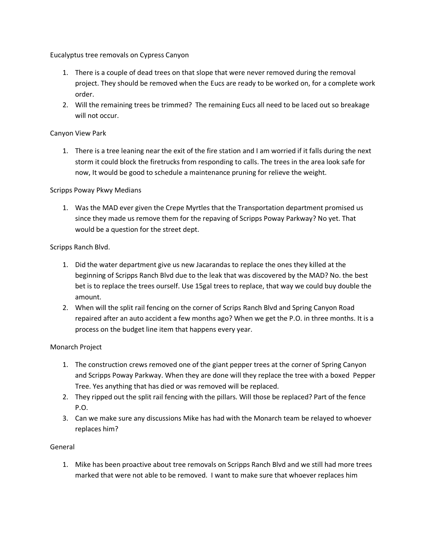Eucalyptus tree removals on Cypress Canyon

- 1. There is a couple of dead trees on that slope that were never removed during the removal project. They should be removed when the Eucs are ready to be worked on, for a complete work order.
- 2. Will the remaining trees be trimmed? The remaining Eucs all need to be laced out so breakage will not occur.

# Canyon View Park

1. There is a tree leaning near the exit of the fire station and I am worried if it falls during the next storm it could block the firetrucks from responding to calls. The trees in the area look safe for now, It would be good to schedule a maintenance pruning for relieve the weight.

## Scripps Poway Pkwy Medians

1. Was the MAD ever given the Crepe Myrtles that the Transportation department promised us since they made us remove them for the repaving of Scripps Poway Parkway? No yet. That would be a question for the street dept.

## Scripps Ranch Blvd.

- 1. Did the water department give us new Jacarandas to replace the ones they killed at the beginning of Scripps Ranch Blvd due to the leak that was discovered by the MAD? No. the best bet is to replace the trees ourself. Use 15gal trees to replace, that way we could buy double the amount.
- 2. When will the split rail fencing on the corner of Scrips Ranch Blvd and Spring Canyon Road repaired after an auto accident a few months ago? When we get the P.O. in three months. It is a process on the budget line item that happens every year.

### Monarch Project

- 1. The construction crews removed one of the giant pepper trees at the corner of Spring Canyon and Scripps Poway Parkway. When they are done will they replace the tree with a boxed Pepper Tree. Yes anything that has died or was removed will be replaced.
- 2. They ripped out the split rail fencing with the pillars. Will those be replaced? Part of the fence P.O.
- 3. Can we make sure any discussions Mike has had with the Monarch team be relayed to whoever replaces him?

### General

1. Mike has been proactive about tree removals on Scripps Ranch Blvd and we still had more trees marked that were not able to be removed. I want to make sure that whoever replaces him